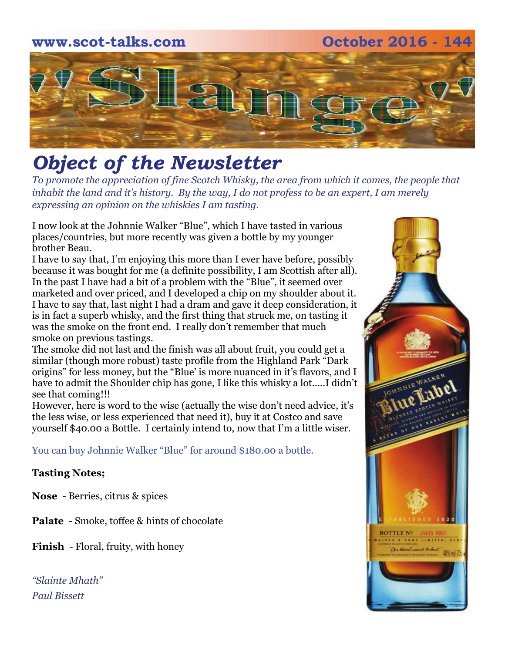## **www.scot-talks.com October 2016 - 144** 2

### *Object of the Newsletter*

*To promote the appreciation of fine Scotch Whisky, the area from which it comes, the people that inhabit the land and it's history. By the way, I do not profess to be an expert, I am merely expressing an opinion on the whiskies I am tasting.* 

I now look at the Johnnie Walker "Blue", which I have tasted in various places/countries, but more recently was given a bottle by my younger brother Beau.

I have to say that, I'm enjoying this more than I ever have before, possibly because it was bought for me (a definite possibility, I am Scottish after all). In the past I have had a bit of a problem with the "Blue", it seemed over marketed and over priced, and I developed a chip on my shoulder about it. I have to say that, last night I had a dram and gave it deep consideration, it is in fact a superb whisky, and the first thing that struck me, on tasting it was the smoke on the front end. I really don't remember that much smoke on previous tastings.

The smoke did not last and the finish was all about fruit, you could get a similar (though more robust) taste profile from the Highland Park "Dark origins" for less money, but the "Blue' is more nuanced in it's flavors, and I have to admit the Shoulder chip has gone, I like this whisky a lot…..I didn't see that coming!!!

However, here is word to the wise (actually the wise don't need advice, it's the less wise, or less experienced that need it), buy it at Costco and save yourself \$40.00 a Bottle. I certainly intend to, now that I'm a little wiser.

You can buy Johnnie Walker "Blue" for around \$180.00 a bottle.

#### **Tasting Notes;**

**Nose** - Berries, citrus & spices

**Palate** - Smoke, toffee & hints of chocolate

**Finish** - Floral, fruity, with honey

*"Slainte Mhath" Paul Bissett*

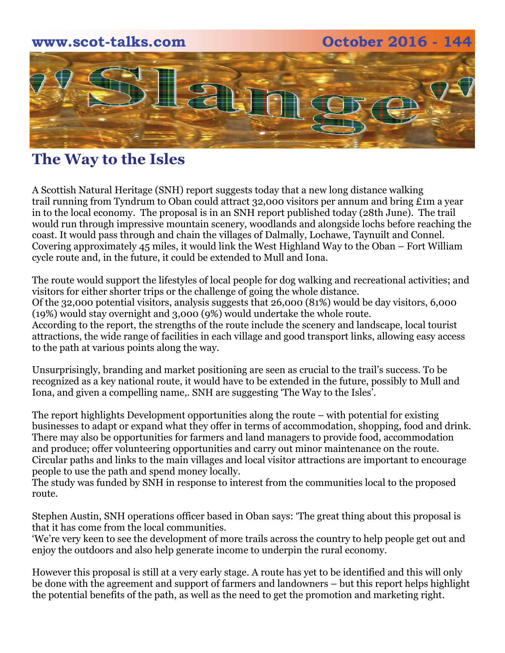

### **The Way to the Isles**

A Scottish Natural Heritage (SNH) report suggests today that a new long distance walking trail running from Tyndrum to Oban could attract 32,000 visitors per annum and bring £1m a year in to the local economy. The proposal is in an SNH report published today (28th June). The trail would run through impressive mountain scenery, woodlands and alongside lochs before reaching the coast. It would pass through and chain the villages of Dalmally, Lochawe, Taynuilt and Connel. Covering approximately 45 miles, it would link the West Highland Way to the Oban – Fort William cycle route and, in the future, it could be extended to Mull and Iona.

The route would support the lifestyles of local people for dog walking and recreational activities; and visitors for either shorter trips or the challenge of going the whole distance. Of the 32,000 potential visitors, analysis suggests that 26,000 (81%) would be day visitors, 6,000 (19%) would stay overnight and 3,000 (9%) would undertake the whole route. According to the report, the strengths of the route include the scenery and landscape, local tourist attractions, the wide range of facilities in each village and good transport links, allowing easy access to the path at various points along the way.

Unsurprisingly, branding and market positioning are seen as crucial to the trail's success. To be recognized as a key national route, it would have to be extended in the future, possibly to Mull and Iona, and given a compelling name,. SNH are suggesting 'The Way to the Isles'.

The report highlights Development opportunities along the route – with potential for existing businesses to adapt or expand what they offer in terms of accommodation, shopping, food and drink. There may also be opportunities for farmers and land managers to provide food, accommodation and produce; offer volunteering opportunities and carry out minor maintenance on the route. Circular paths and links to the main villages and local visitor attractions are important to encourage people to use the path and spend money locally.

The study was funded by SNH in response to interest from the communities local to the proposed route.

Stephen Austin, SNH operations officer based in Oban says: 'The great thing about this proposal is that it has come from the local communities.

'We're very keen to see the development of more trails across the country to help people get out and enjoy the outdoors and also help generate income to underpin the rural economy.

However this proposal is still at a very early stage. A route has yet to be identified and this will only be done with the agreement and support of farmers and landowners – but this report helps highlight the potential benefits of the path, as well as the need to get the promotion and marketing right.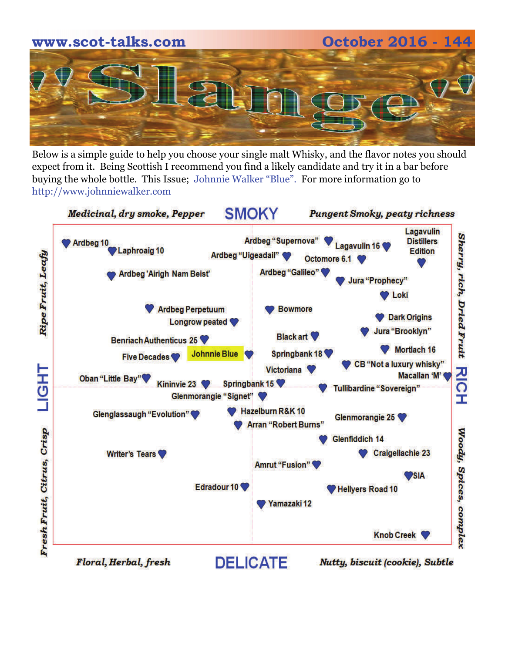# **www.scot-talks.com October 2016 - 144**

Below is a simple guide to help you choose your single malt Whisky, and the flavor notes you should expect from it. Being Scottish I recommend you find a likely candidate and try it in a bar before buying the whole bottle. This Issue; Johnnie Walker "Blue". For more information go to http://www.johnniewalker.com

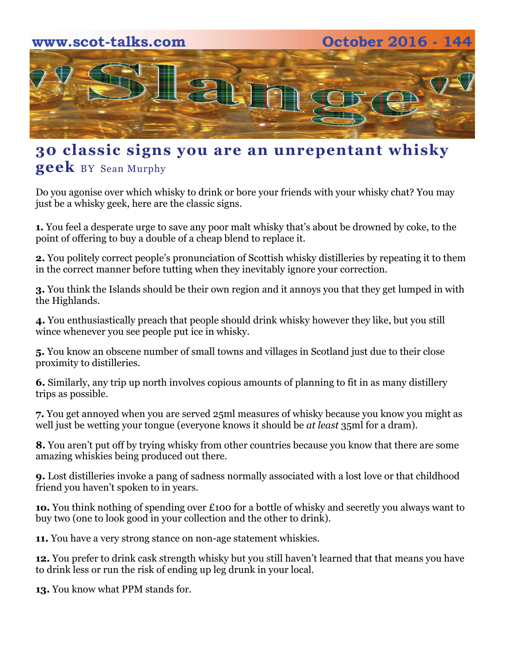

### **30 classic signs you are an unrepentant whisky geek** BY [Sean Murphy](http://foodanddrink.scotsman.com/author/sean-murphy/)

Do you agonise over which whisky to drink or bore your friends with your whisky chat? You may just be a whisky geek, here are the classic signs.

**1.** You feel a desperate urge to save any poor malt whisky that's about be drowned by coke, to the point of offering to buy a double of a cheap blend to replace it.

**2.** You politely correct people's pronunciation of Scottish whisky distilleries by repeating it to them in the correct manner before tutting when they inevitably ignore your correction.

**3.** You think the Islands should be their own region and it annoys you that they get lumped in with the Highlands.

**4.** You enthusiastically preach that people should drink whisky however they like, but you still wince whenever you see people put ice in whisky.

**5.** You know an obscene number of small towns and villages in Scotland just due to their close proximity to distilleries.

**6.** Similarly, any trip up north involves copious amounts of planning to fit in as many distillery trips as possible.

**7.** You get annoyed when you are served 25ml measures of whisky because you know you might as well just be wetting your tongue (everyone knows it should be *at least* 35ml for a dram).

**8.** You aren't put off by trying whisky from other countries because you know that there are some amazing whiskies being produced out there.

**9.** Lost distilleries invoke a pang of sadness normally associated with a lost love or that childhood friend you haven't spoken to in years.

**1o.** You think nothing of spending over £100 for a bottle of whisky and secretly you always want to buy two (one to look good in your collection and the other to drink).

**11.** You have a very strong stance on non-age statement whiskies.

**12.** You prefer to drink cask strength whisky but you still haven't learned that that means you have to drink less or run the risk of ending up leg drunk in your local.

**13.** You know what PPM stands for.